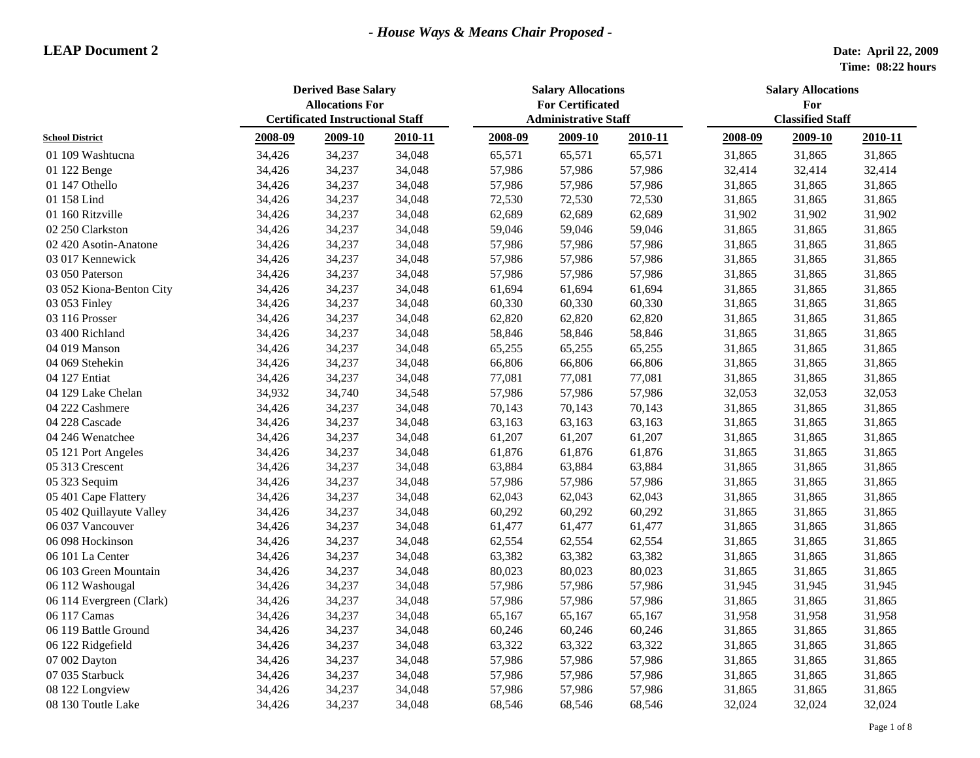|                          | <b>Derived Base Salary</b><br><b>Allocations For</b> |                                         |         | <b>Salary Allocations</b><br><b>For Certificated</b> |         |         | <b>Salary Allocations</b><br>For |         |         |  |
|--------------------------|------------------------------------------------------|-----------------------------------------|---------|------------------------------------------------------|---------|---------|----------------------------------|---------|---------|--|
|                          |                                                      | <b>Certificated Instructional Staff</b> |         | <b>Administrative Staff</b>                          |         |         | <b>Classified Staff</b>          |         |         |  |
| <b>School District</b>   | 2008-09                                              | 2009-10                                 | 2010-11 | 2008-09                                              | 2009-10 | 2010-11 | 2008-09                          | 2009-10 | 2010-11 |  |
| 01 109 Washtucna         | 34,426                                               | 34,237                                  | 34,048  | 65,571                                               | 65,571  | 65,571  | 31,865                           | 31,865  | 31,865  |  |
| 01 122 Benge             | 34,426                                               | 34,237                                  | 34,048  | 57,986                                               | 57,986  | 57,986  | 32,414                           | 32,414  | 32,414  |  |
| 01 147 Othello           | 34,426                                               | 34,237                                  | 34,048  | 57,986                                               | 57,986  | 57,986  | 31,865                           | 31,865  | 31,865  |  |
| 01 158 Lind              | 34,426                                               | 34,237                                  | 34,048  | 72,530                                               | 72,530  | 72,530  | 31,865                           | 31,865  | 31,865  |  |
| 01 160 Ritzville         | 34,426                                               | 34,237                                  | 34,048  | 62,689                                               | 62,689  | 62,689  | 31,902                           | 31,902  | 31,902  |  |
| 02 250 Clarkston         | 34,426                                               | 34,237                                  | 34,048  | 59,046                                               | 59,046  | 59,046  | 31,865                           | 31,865  | 31,865  |  |
| 02 420 Asotin-Anatone    | 34,426                                               | 34,237                                  | 34,048  | 57,986                                               | 57,986  | 57,986  | 31,865                           | 31,865  | 31,865  |  |
| 03 017 Kennewick         | 34,426                                               | 34,237                                  | 34,048  | 57,986                                               | 57,986  | 57,986  | 31,865                           | 31,865  | 31,865  |  |
| 03 050 Paterson          | 34,426                                               | 34,237                                  | 34,048  | 57,986                                               | 57,986  | 57,986  | 31,865                           | 31,865  | 31,865  |  |
| 03 052 Kiona-Benton City | 34,426                                               | 34,237                                  | 34,048  | 61,694                                               | 61,694  | 61,694  | 31,865                           | 31,865  | 31,865  |  |
| 03 053 Finley            | 34,426                                               | 34,237                                  | 34,048  | 60,330                                               | 60,330  | 60,330  | 31,865                           | 31,865  | 31,865  |  |
| 03 116 Prosser           | 34,426                                               | 34,237                                  | 34,048  | 62,820                                               | 62,820  | 62,820  | 31,865                           | 31,865  | 31,865  |  |
| 03 400 Richland          | 34,426                                               | 34,237                                  | 34,048  | 58,846                                               | 58,846  | 58,846  | 31,865                           | 31,865  | 31,865  |  |
| 04 019 Manson            | 34,426                                               | 34,237                                  | 34,048  | 65,255                                               | 65,255  | 65,255  | 31,865                           | 31,865  | 31,865  |  |
| 04 069 Stehekin          | 34,426                                               | 34,237                                  | 34,048  | 66,806                                               | 66,806  | 66,806  | 31,865                           | 31,865  | 31,865  |  |
| 04 127 Entiat            | 34,426                                               | 34,237                                  | 34,048  | 77,081                                               | 77,081  | 77,081  | 31,865                           | 31,865  | 31,865  |  |
| 04 129 Lake Chelan       | 34,932                                               | 34,740                                  | 34,548  | 57,986                                               | 57,986  | 57,986  | 32,053                           | 32,053  | 32,053  |  |
| 04 222 Cashmere          | 34,426                                               | 34,237                                  | 34,048  | 70,143                                               | 70,143  | 70,143  | 31,865                           | 31,865  | 31,865  |  |
| 04 228 Cascade           | 34,426                                               | 34,237                                  | 34,048  | 63,163                                               | 63,163  | 63,163  | 31,865                           | 31,865  | 31,865  |  |
| 04 246 Wenatchee         | 34,426                                               | 34,237                                  | 34,048  | 61,207                                               | 61,207  | 61,207  | 31,865                           | 31,865  | 31,865  |  |
| 05 121 Port Angeles      | 34,426                                               | 34,237                                  | 34,048  | 61,876                                               | 61,876  | 61,876  | 31,865                           | 31,865  | 31,865  |  |
| 05 313 Crescent          | 34,426                                               | 34,237                                  | 34,048  | 63,884                                               | 63,884  | 63,884  | 31,865                           | 31,865  | 31,865  |  |
| 05 323 Sequim            | 34,426                                               | 34,237                                  | 34,048  | 57,986                                               | 57,986  | 57,986  | 31,865                           | 31,865  | 31,865  |  |
| 05 401 Cape Flattery     | 34,426                                               | 34,237                                  | 34,048  | 62,043                                               | 62,043  | 62,043  | 31,865                           | 31,865  | 31,865  |  |
| 05 402 Quillayute Valley | 34,426                                               | 34,237                                  | 34,048  | 60,292                                               | 60,292  | 60,292  | 31,865                           | 31,865  | 31,865  |  |
| 06 037 Vancouver         | 34,426                                               | 34,237                                  | 34,048  | 61,477                                               | 61,477  | 61,477  | 31,865                           | 31,865  | 31,865  |  |
| 06 098 Hockinson         | 34,426                                               | 34,237                                  | 34,048  | 62,554                                               | 62,554  | 62,554  | 31,865                           | 31,865  | 31,865  |  |
| 06 101 La Center         | 34,426                                               | 34,237                                  | 34,048  | 63,382                                               | 63,382  | 63,382  | 31,865                           | 31,865  | 31,865  |  |
| 06 103 Green Mountain    | 34,426                                               | 34,237                                  | 34,048  | 80,023                                               | 80,023  | 80,023  | 31,865                           | 31,865  | 31,865  |  |
| 06 112 Washougal         | 34,426                                               | 34,237                                  | 34,048  | 57,986                                               | 57,986  | 57,986  | 31,945                           | 31,945  | 31,945  |  |
| 06 114 Evergreen (Clark) | 34,426                                               | 34,237                                  | 34,048  | 57,986                                               | 57,986  | 57,986  | 31,865                           | 31,865  | 31,865  |  |
| 06 117 Camas             | 34,426                                               | 34,237                                  | 34,048  | 65,167                                               | 65,167  | 65,167  | 31,958                           | 31,958  | 31,958  |  |
| 06 119 Battle Ground     | 34,426                                               | 34,237                                  | 34,048  | 60,246                                               | 60,246  | 60,246  | 31,865                           | 31,865  | 31,865  |  |
| 06 122 Ridgefield        | 34,426                                               | 34,237                                  | 34,048  | 63,322                                               | 63,322  | 63,322  | 31,865                           | 31,865  | 31,865  |  |
| 07 002 Dayton            | 34,426                                               | 34,237                                  | 34,048  | 57,986                                               | 57,986  | 57,986  | 31,865                           | 31,865  | 31,865  |  |
| 07 035 Starbuck          | 34,426                                               | 34,237                                  | 34,048  | 57,986                                               | 57,986  | 57,986  | 31,865                           | 31,865  | 31,865  |  |
| 08 122 Longview          | 34,426                                               | 34,237                                  | 34,048  | 57,986                                               | 57,986  | 57,986  | 31,865                           | 31,865  | 31,865  |  |
| 08 130 Toutle Lake       | 34,426                                               | 34,237                                  | 34,048  | 68,546                                               | 68,546  | 68,546  | 32,024                           | 32,024  | 32,024  |  |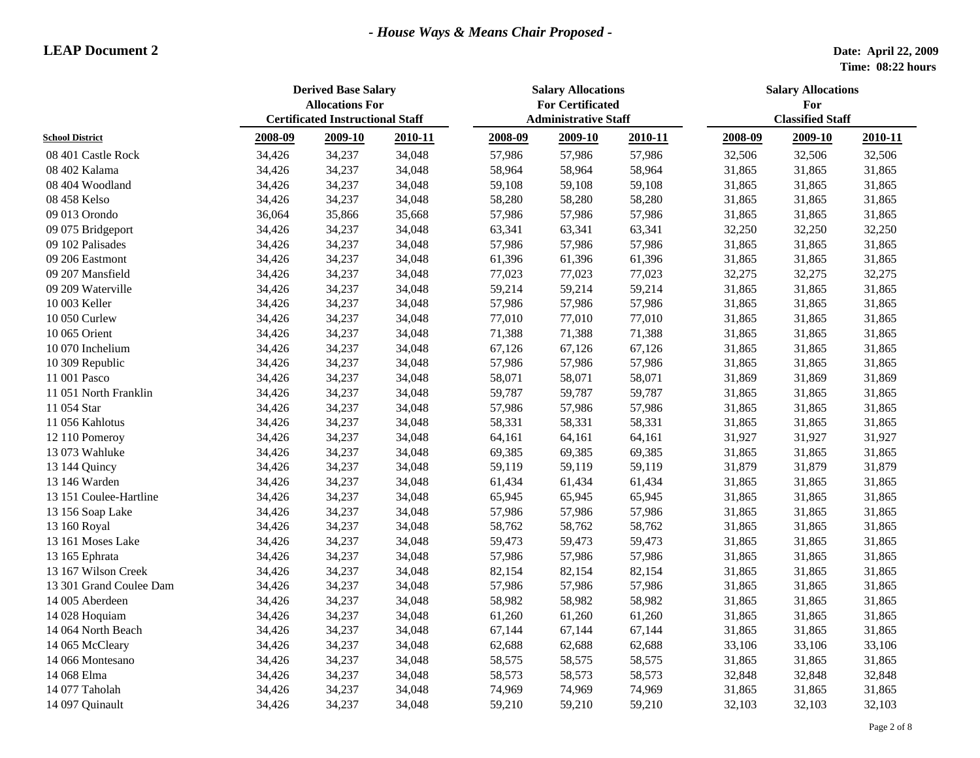|                         | <b>Derived Base Salary</b><br><b>Allocations For</b><br><b>Certificated Instructional Staff</b> |         |         | <b>Salary Allocations</b><br><b>For Certificated</b> |                             |         | <b>Salary Allocations</b><br>For |                         |         |  |
|-------------------------|-------------------------------------------------------------------------------------------------|---------|---------|------------------------------------------------------|-----------------------------|---------|----------------------------------|-------------------------|---------|--|
|                         |                                                                                                 |         |         |                                                      | <b>Administrative Staff</b> |         |                                  | <b>Classified Staff</b> |         |  |
| <b>School District</b>  | 2008-09                                                                                         | 2009-10 | 2010-11 | 2008-09                                              | 2009-10                     | 2010-11 | 2008-09                          | 2009-10                 | 2010-11 |  |
| 08 401 Castle Rock      | 34,426                                                                                          | 34,237  | 34,048  | 57,986                                               | 57,986                      | 57,986  | 32,506                           | 32,506                  | 32,506  |  |
| 08 402 Kalama           | 34,426                                                                                          | 34,237  | 34,048  | 58,964                                               | 58,964                      | 58,964  | 31,865                           | 31,865                  | 31,865  |  |
| 08 404 Woodland         | 34,426                                                                                          | 34,237  | 34,048  | 59,108                                               | 59,108                      | 59,108  | 31,865                           | 31,865                  | 31,865  |  |
| 08 458 Kelso            | 34,426                                                                                          | 34,237  | 34,048  | 58,280                                               | 58,280                      | 58,280  | 31,865                           | 31,865                  | 31,865  |  |
| 09 013 Orondo           | 36,064                                                                                          | 35,866  | 35,668  | 57,986                                               | 57,986                      | 57,986  | 31,865                           | 31,865                  | 31,865  |  |
| 09 075 Bridgeport       | 34,426                                                                                          | 34,237  | 34,048  | 63,341                                               | 63,341                      | 63,341  | 32,250                           | 32,250                  | 32,250  |  |
| 09 102 Palisades        | 34,426                                                                                          | 34,237  | 34,048  | 57,986                                               | 57,986                      | 57,986  | 31,865                           | 31,865                  | 31,865  |  |
| 09 206 Eastmont         | 34,426                                                                                          | 34,237  | 34,048  | 61,396                                               | 61,396                      | 61,396  | 31,865                           | 31,865                  | 31,865  |  |
| 09 207 Mansfield        | 34,426                                                                                          | 34,237  | 34,048  | 77,023                                               | 77,023                      | 77,023  | 32,275                           | 32,275                  | 32,275  |  |
| 09 209 Waterville       | 34,426                                                                                          | 34,237  | 34,048  | 59,214                                               | 59,214                      | 59,214  | 31,865                           | 31,865                  | 31,865  |  |
| 10 003 Keller           | 34,426                                                                                          | 34,237  | 34,048  | 57,986                                               | 57,986                      | 57,986  | 31,865                           | 31,865                  | 31,865  |  |
| 10 050 Curlew           | 34,426                                                                                          | 34,237  | 34,048  | 77,010                                               | 77,010                      | 77,010  | 31,865                           | 31,865                  | 31,865  |  |
| 10 065 Orient           | 34,426                                                                                          | 34,237  | 34,048  | 71,388                                               | 71,388                      | 71,388  | 31,865                           | 31,865                  | 31,865  |  |
| 10 070 Inchelium        | 34,426                                                                                          | 34,237  | 34,048  | 67,126                                               | 67,126                      | 67,126  | 31,865                           | 31,865                  | 31,865  |  |
| 10 309 Republic         | 34,426                                                                                          | 34,237  | 34,048  | 57,986                                               | 57,986                      | 57,986  | 31,865                           | 31,865                  | 31,865  |  |
| 11 001 Pasco            | 34,426                                                                                          | 34,237  | 34,048  | 58,071                                               | 58,071                      | 58,071  | 31,869                           | 31,869                  | 31,869  |  |
| 11 051 North Franklin   | 34,426                                                                                          | 34,237  | 34,048  | 59,787                                               | 59,787                      | 59,787  | 31,865                           | 31,865                  | 31,865  |  |
| 11 054 Star             | 34,426                                                                                          | 34,237  | 34,048  | 57,986                                               | 57,986                      | 57,986  | 31,865                           | 31,865                  | 31,865  |  |
| 11 056 Kahlotus         | 34,426                                                                                          | 34,237  | 34,048  | 58,331                                               | 58,331                      | 58,331  | 31,865                           | 31,865                  | 31,865  |  |
| 12 110 Pomeroy          | 34,426                                                                                          | 34,237  | 34,048  | 64,161                                               | 64,161                      | 64,161  | 31,927                           | 31,927                  | 31,927  |  |
| 13 073 Wahluke          | 34,426                                                                                          | 34,237  | 34,048  | 69,385                                               | 69,385                      | 69,385  | 31,865                           | 31,865                  | 31,865  |  |
| 13 144 Quincy           | 34,426                                                                                          | 34,237  | 34,048  | 59,119                                               | 59,119                      | 59,119  | 31,879                           | 31,879                  | 31,879  |  |
| 13 146 Warden           | 34,426                                                                                          | 34,237  | 34,048  | 61,434                                               | 61,434                      | 61,434  | 31,865                           | 31,865                  | 31,865  |  |
| 13 151 Coulee-Hartline  | 34,426                                                                                          | 34,237  | 34,048  | 65,945                                               | 65,945                      | 65,945  | 31,865                           | 31,865                  | 31,865  |  |
| 13 156 Soap Lake        | 34,426                                                                                          | 34,237  | 34,048  | 57,986                                               | 57,986                      | 57,986  | 31,865                           | 31,865                  | 31,865  |  |
| 13 160 Royal            | 34,426                                                                                          | 34,237  | 34,048  | 58,762                                               | 58,762                      | 58,762  | 31,865                           | 31,865                  | 31,865  |  |
| 13 161 Moses Lake       | 34,426                                                                                          | 34,237  | 34,048  | 59,473                                               | 59,473                      | 59,473  | 31,865                           | 31,865                  | 31,865  |  |
| 13 165 Ephrata          | 34,426                                                                                          | 34,237  | 34,048  | 57,986                                               | 57,986                      | 57,986  | 31,865                           | 31,865                  | 31,865  |  |
| 13 167 Wilson Creek     | 34,426                                                                                          | 34,237  | 34,048  | 82,154                                               | 82,154                      | 82,154  | 31,865                           | 31,865                  | 31,865  |  |
| 13 301 Grand Coulee Dam | 34,426                                                                                          | 34,237  | 34,048  | 57,986                                               | 57,986                      | 57,986  | 31,865                           | 31,865                  | 31,865  |  |
| 14 005 Aberdeen         | 34,426                                                                                          | 34,237  | 34,048  | 58,982                                               | 58,982                      | 58,982  | 31,865                           | 31,865                  | 31,865  |  |
| 14 028 Hoquiam          | 34,426                                                                                          | 34,237  | 34,048  | 61,260                                               | 61,260                      | 61,260  | 31,865                           | 31,865                  | 31,865  |  |
| 14 064 North Beach      | 34,426                                                                                          | 34,237  | 34,048  | 67,144                                               | 67,144                      | 67,144  | 31,865                           | 31,865                  | 31,865  |  |
| 14 065 McCleary         | 34,426                                                                                          | 34,237  | 34,048  | 62,688                                               | 62,688                      | 62,688  | 33,106                           | 33,106                  | 33,106  |  |
| 14 066 Montesano        | 34,426                                                                                          | 34,237  | 34,048  | 58,575                                               | 58,575                      | 58,575  | 31,865                           | 31,865                  | 31,865  |  |
| 14 068 Elma             | 34,426                                                                                          | 34,237  | 34,048  | 58,573                                               | 58,573                      | 58,573  | 32,848                           | 32,848                  | 32,848  |  |
| 14 077 Taholah          | 34,426                                                                                          | 34,237  | 34,048  | 74,969                                               | 74,969                      | 74,969  | 31,865                           | 31,865                  | 31,865  |  |
| 14 097 Quinault         | 34,426                                                                                          | 34,237  | 34,048  | 59,210                                               | 59,210                      | 59,210  | 32,103                           | 32,103                  | 32,103  |  |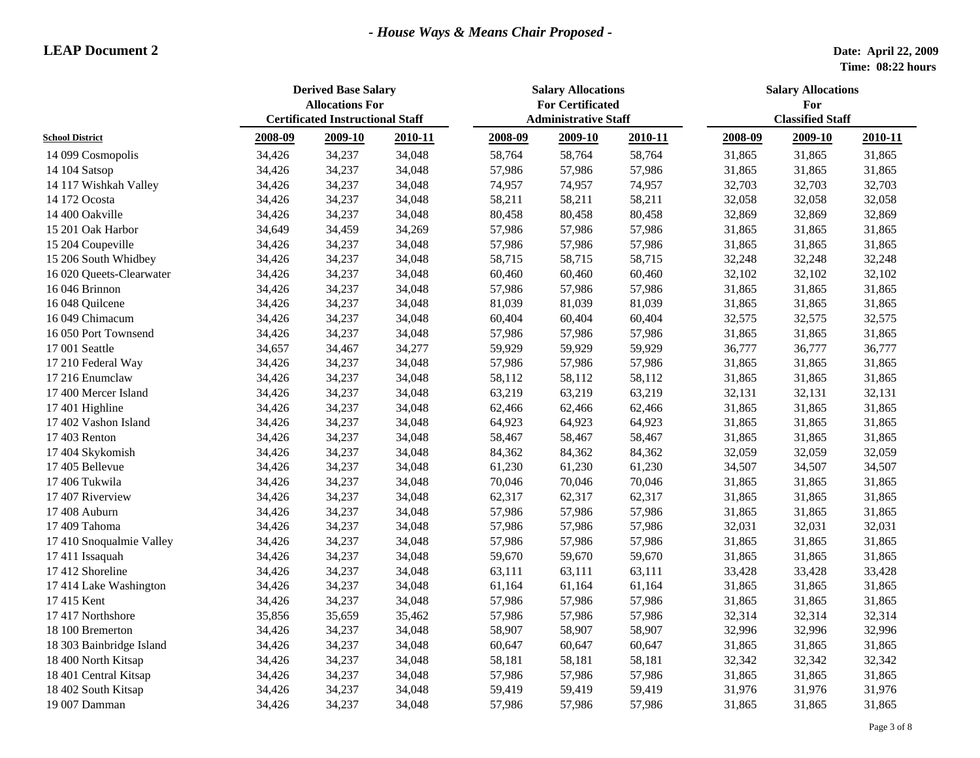|                          | <b>Derived Base Salary</b><br><b>Allocations For</b><br><b>Certificated Instructional Staff</b> |         |         | <b>Salary Allocations</b><br><b>For Certificated</b><br><b>Administrative Staff</b> |         |         | <b>Salary Allocations</b><br>For<br><b>Classified Staff</b> |         |         |
|--------------------------|-------------------------------------------------------------------------------------------------|---------|---------|-------------------------------------------------------------------------------------|---------|---------|-------------------------------------------------------------|---------|---------|
| <b>School District</b>   | 2008-09                                                                                         | 2009-10 | 2010-11 | 2008-09                                                                             | 2009-10 | 2010-11 | 2008-09                                                     | 2009-10 | 2010-11 |
| 14 099 Cosmopolis        | 34,426                                                                                          | 34,237  | 34,048  | 58,764                                                                              | 58,764  | 58,764  | 31,865                                                      | 31,865  | 31,865  |
| 14 104 Satsop            | 34,426                                                                                          | 34,237  | 34,048  | 57,986                                                                              | 57,986  | 57,986  | 31,865                                                      | 31,865  | 31,865  |
| 14 117 Wishkah Valley    | 34,426                                                                                          | 34,237  | 34,048  | 74,957                                                                              | 74,957  | 74,957  | 32,703                                                      | 32,703  | 32,703  |
| 14 172 Ocosta            | 34,426                                                                                          | 34,237  | 34,048  | 58,211                                                                              | 58,211  | 58,211  | 32,058                                                      | 32,058  | 32,058  |
| 14 400 Oakville          | 34,426                                                                                          | 34,237  | 34,048  | 80,458                                                                              | 80,458  | 80,458  | 32,869                                                      | 32,869  | 32,869  |
| 15 201 Oak Harbor        | 34,649                                                                                          | 34,459  | 34,269  | 57,986                                                                              | 57,986  | 57,986  | 31,865                                                      | 31,865  | 31,865  |
| 15 204 Coupeville        | 34,426                                                                                          | 34,237  | 34,048  | 57,986                                                                              | 57,986  | 57,986  | 31,865                                                      | 31,865  | 31,865  |
| 15 206 South Whidbey     | 34,426                                                                                          | 34,237  | 34,048  | 58,715                                                                              | 58,715  | 58,715  | 32,248                                                      | 32,248  | 32,248  |
| 16 020 Queets-Clearwater | 34,426                                                                                          | 34,237  | 34,048  | 60,460                                                                              | 60,460  | 60,460  | 32,102                                                      | 32,102  | 32,102  |
| 16 046 Brinnon           | 34,426                                                                                          | 34,237  | 34,048  | 57,986                                                                              | 57,986  | 57,986  | 31,865                                                      | 31,865  | 31,865  |
| 16 048 Quilcene          | 34,426                                                                                          | 34,237  | 34,048  | 81,039                                                                              | 81,039  | 81,039  | 31,865                                                      | 31,865  | 31,865  |
| 16 049 Chimacum          | 34,426                                                                                          | 34,237  | 34,048  | 60,404                                                                              | 60,404  | 60,404  | 32,575                                                      | 32,575  | 32,575  |
| 16 050 Port Townsend     | 34,426                                                                                          | 34,237  | 34,048  | 57,986                                                                              | 57,986  | 57,986  | 31,865                                                      | 31,865  | 31,865  |
| 17 001 Seattle           | 34,657                                                                                          | 34,467  | 34,277  | 59,929                                                                              | 59,929  | 59,929  | 36,777                                                      | 36,777  | 36,777  |
| 17 210 Federal Way       | 34,426                                                                                          | 34,237  | 34,048  | 57,986                                                                              | 57,986  | 57,986  | 31,865                                                      | 31,865  | 31,865  |
| 17 216 Enumclaw          | 34,426                                                                                          | 34,237  | 34,048  | 58,112                                                                              | 58,112  | 58,112  | 31,865                                                      | 31,865  | 31,865  |
| 17 400 Mercer Island     | 34,426                                                                                          | 34,237  | 34,048  | 63,219                                                                              | 63,219  | 63,219  | 32,131                                                      | 32,131  | 32,131  |
| 17 401 Highline          | 34,426                                                                                          | 34,237  | 34,048  | 62,466                                                                              | 62,466  | 62,466  | 31,865                                                      | 31,865  | 31,865  |
| 17 402 Vashon Island     | 34,426                                                                                          | 34,237  | 34,048  | 64,923                                                                              | 64,923  | 64,923  | 31,865                                                      | 31,865  | 31,865  |
| 17 403 Renton            | 34,426                                                                                          | 34,237  | 34,048  | 58,467                                                                              | 58,467  | 58,467  | 31,865                                                      | 31,865  | 31,865  |
| 17 404 Skykomish         | 34,426                                                                                          | 34,237  | 34,048  | 84,362                                                                              | 84,362  | 84,362  | 32,059                                                      | 32,059  | 32,059  |
| 17 405 Bellevue          | 34,426                                                                                          | 34,237  | 34,048  | 61,230                                                                              | 61,230  | 61,230  | 34,507                                                      | 34,507  | 34,507  |
| 17 406 Tukwila           | 34,426                                                                                          | 34,237  | 34,048  | 70,046                                                                              | 70,046  | 70,046  | 31,865                                                      | 31,865  | 31,865  |
| 17 407 Riverview         | 34,426                                                                                          | 34,237  | 34,048  | 62,317                                                                              | 62,317  | 62,317  | 31,865                                                      | 31,865  | 31,865  |
| 17 408 Auburn            | 34,426                                                                                          | 34,237  | 34,048  | 57,986                                                                              | 57,986  | 57,986  | 31,865                                                      | 31,865  | 31,865  |
| 17 409 Tahoma            | 34,426                                                                                          | 34,237  | 34,048  | 57,986                                                                              | 57,986  | 57,986  | 32,031                                                      | 32,031  | 32,031  |
| 17 410 Snoqualmie Valley | 34,426                                                                                          | 34,237  | 34,048  | 57,986                                                                              | 57,986  | 57,986  | 31,865                                                      | 31,865  | 31,865  |
| 17 411 Issaquah          | 34,426                                                                                          | 34,237  | 34,048  | 59,670                                                                              | 59,670  | 59,670  | 31,865                                                      | 31,865  | 31,865  |
| 17 412 Shoreline         | 34,426                                                                                          | 34,237  | 34,048  | 63,111                                                                              | 63,111  | 63,111  | 33,428                                                      | 33,428  | 33,428  |
| 17 414 Lake Washington   | 34,426                                                                                          | 34,237  | 34,048  | 61,164                                                                              | 61,164  | 61,164  | 31,865                                                      | 31,865  | 31,865  |
| 17 415 Kent              | 34,426                                                                                          | 34,237  | 34,048  | 57,986                                                                              | 57,986  | 57,986  | 31,865                                                      | 31,865  | 31,865  |
| 17 417 Northshore        | 35,856                                                                                          | 35,659  | 35,462  | 57,986                                                                              | 57,986  | 57,986  | 32,314                                                      | 32,314  | 32,314  |
| 18 100 Bremerton         | 34,426                                                                                          | 34,237  | 34,048  | 58,907                                                                              | 58,907  | 58,907  | 32,996                                                      | 32,996  | 32,996  |
| 18 303 Bainbridge Island | 34,426                                                                                          | 34,237  | 34,048  | 60,647                                                                              | 60,647  | 60,647  | 31,865                                                      | 31,865  | 31,865  |
| 18 400 North Kitsap      | 34,426                                                                                          | 34,237  | 34,048  | 58,181                                                                              | 58,181  | 58,181  | 32,342                                                      | 32,342  | 32,342  |
| 18 401 Central Kitsap    | 34,426                                                                                          | 34,237  | 34,048  | 57,986                                                                              | 57,986  | 57,986  | 31,865                                                      | 31,865  | 31,865  |
| 18 402 South Kitsap      | 34,426                                                                                          | 34,237  | 34,048  | 59,419                                                                              | 59,419  | 59,419  | 31,976                                                      | 31,976  | 31,976  |
| 19 007 Damman            | 34,426                                                                                          | 34,237  | 34,048  | 57,986                                                                              | 57,986  | 57,986  | 31,865                                                      | 31,865  | 31,865  |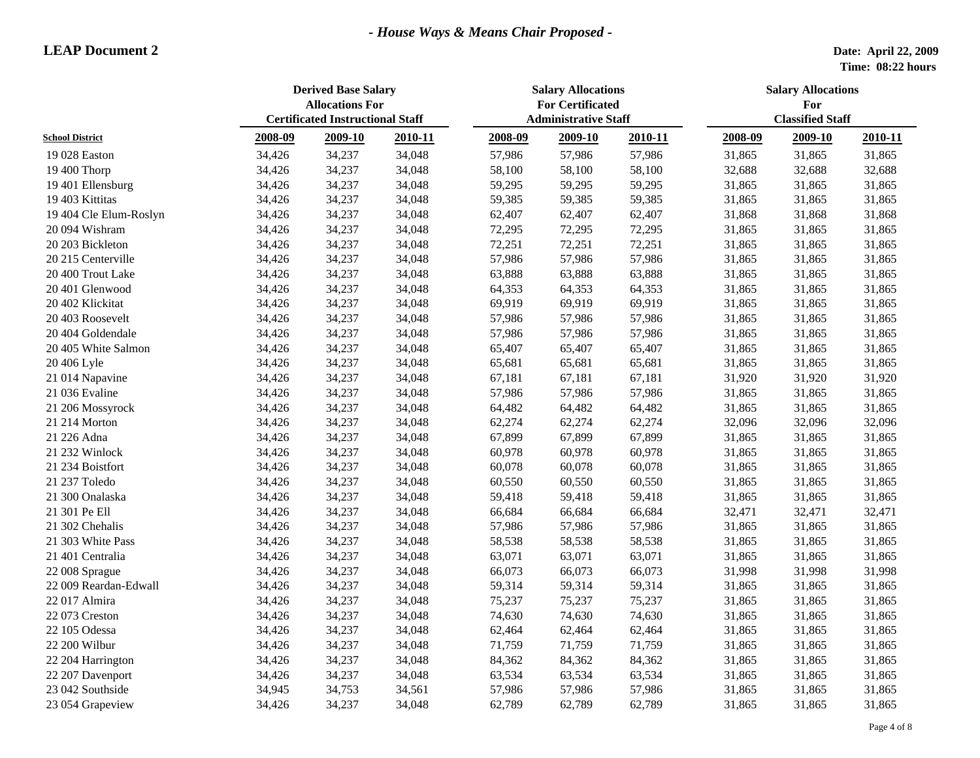| <b>Administrative Staff</b><br>2008-09<br>2009-10<br>2010-11<br>2008-09<br>2009-10<br>2010-11<br>2008-09<br>2009-10<br>2010-11<br><b>School District</b><br>34,237<br>34,048<br>57,986<br>57,986<br>31,865<br>19 028 Easton<br>34,426<br>57,986<br>31,865<br>31,865<br>34,237<br>34,048<br>58,100<br>32,688<br>19 400 Thorp<br>34,426<br>58,100<br>58,100<br>32,688<br>32,688<br>19 401 Ellensburg<br>34,426<br>34,237<br>34,048<br>59,295<br>59,295<br>59,295<br>31,865<br>31,865<br>31,865<br>19 403 Kittitas<br>34,237<br>34,048<br>59,385<br>59,385<br>31,865<br>34,426<br>59,385<br>31,865<br>31,865<br>19 404 Cle Elum-Roslyn<br>34,426<br>34,237<br>34,048<br>62,407<br>62,407<br>62,407<br>31,868<br>31,868<br>31,868<br>34,426<br>34,237<br>34,048<br>72,295<br>72,295<br>72,295<br>31,865<br>31,865<br>31,865<br>20 094 Wishram<br>34,426<br>34,237<br>34,048<br>72,251<br>72,251<br>72,251<br>31,865<br>31,865<br>31,865<br>20 203 Bickleton<br>34,237<br>34,048<br>57,986<br>57,986<br>57,986<br>31,865<br>20 215 Centerville<br>34,426<br>31,865<br>31,865<br>34,426<br>34,237<br>34,048<br>63,888<br>63,888<br>63,888<br>31,865<br>31,865<br>31,865<br>20 400 Trout Lake<br>34,426<br>34,237<br>34,048<br>64,353<br>31,865<br>31,865<br>20 401 Glenwood<br>31,865 | <b>Derived Base Salary</b><br><b>Allocations For</b><br><b>Certificated Instructional Staff</b> |  |  | <b>Salary Allocations</b><br><b>For Certificated</b> |        |  | <b>Salary Allocations</b><br>For<br><b>Classified Staff</b> |  |  |
|---------------------------------------------------------------------------------------------------------------------------------------------------------------------------------------------------------------------------------------------------------------------------------------------------------------------------------------------------------------------------------------------------------------------------------------------------------------------------------------------------------------------------------------------------------------------------------------------------------------------------------------------------------------------------------------------------------------------------------------------------------------------------------------------------------------------------------------------------------------------------------------------------------------------------------------------------------------------------------------------------------------------------------------------------------------------------------------------------------------------------------------------------------------------------------------------------------------------------------------------------------------------------------|-------------------------------------------------------------------------------------------------|--|--|------------------------------------------------------|--------|--|-------------------------------------------------------------|--|--|
|                                                                                                                                                                                                                                                                                                                                                                                                                                                                                                                                                                                                                                                                                                                                                                                                                                                                                                                                                                                                                                                                                                                                                                                                                                                                                 |                                                                                                 |  |  |                                                      |        |  |                                                             |  |  |
|                                                                                                                                                                                                                                                                                                                                                                                                                                                                                                                                                                                                                                                                                                                                                                                                                                                                                                                                                                                                                                                                                                                                                                                                                                                                                 |                                                                                                 |  |  |                                                      |        |  |                                                             |  |  |
|                                                                                                                                                                                                                                                                                                                                                                                                                                                                                                                                                                                                                                                                                                                                                                                                                                                                                                                                                                                                                                                                                                                                                                                                                                                                                 |                                                                                                 |  |  |                                                      |        |  |                                                             |  |  |
|                                                                                                                                                                                                                                                                                                                                                                                                                                                                                                                                                                                                                                                                                                                                                                                                                                                                                                                                                                                                                                                                                                                                                                                                                                                                                 |                                                                                                 |  |  |                                                      |        |  |                                                             |  |  |
|                                                                                                                                                                                                                                                                                                                                                                                                                                                                                                                                                                                                                                                                                                                                                                                                                                                                                                                                                                                                                                                                                                                                                                                                                                                                                 |                                                                                                 |  |  |                                                      |        |  |                                                             |  |  |
|                                                                                                                                                                                                                                                                                                                                                                                                                                                                                                                                                                                                                                                                                                                                                                                                                                                                                                                                                                                                                                                                                                                                                                                                                                                                                 |                                                                                                 |  |  |                                                      |        |  |                                                             |  |  |
|                                                                                                                                                                                                                                                                                                                                                                                                                                                                                                                                                                                                                                                                                                                                                                                                                                                                                                                                                                                                                                                                                                                                                                                                                                                                                 |                                                                                                 |  |  |                                                      |        |  |                                                             |  |  |
|                                                                                                                                                                                                                                                                                                                                                                                                                                                                                                                                                                                                                                                                                                                                                                                                                                                                                                                                                                                                                                                                                                                                                                                                                                                                                 |                                                                                                 |  |  |                                                      |        |  |                                                             |  |  |
|                                                                                                                                                                                                                                                                                                                                                                                                                                                                                                                                                                                                                                                                                                                                                                                                                                                                                                                                                                                                                                                                                                                                                                                                                                                                                 |                                                                                                 |  |  |                                                      |        |  |                                                             |  |  |
|                                                                                                                                                                                                                                                                                                                                                                                                                                                                                                                                                                                                                                                                                                                                                                                                                                                                                                                                                                                                                                                                                                                                                                                                                                                                                 |                                                                                                 |  |  |                                                      |        |  |                                                             |  |  |
|                                                                                                                                                                                                                                                                                                                                                                                                                                                                                                                                                                                                                                                                                                                                                                                                                                                                                                                                                                                                                                                                                                                                                                                                                                                                                 |                                                                                                 |  |  |                                                      |        |  |                                                             |  |  |
|                                                                                                                                                                                                                                                                                                                                                                                                                                                                                                                                                                                                                                                                                                                                                                                                                                                                                                                                                                                                                                                                                                                                                                                                                                                                                 |                                                                                                 |  |  | 64,353                                               | 64,353 |  |                                                             |  |  |
| 69,919<br>34,426<br>34,237<br>34,048<br>69,919<br>69,919<br>31,865<br>31,865<br>31,865<br>20 402 Klickitat                                                                                                                                                                                                                                                                                                                                                                                                                                                                                                                                                                                                                                                                                                                                                                                                                                                                                                                                                                                                                                                                                                                                                                      |                                                                                                 |  |  |                                                      |        |  |                                                             |  |  |
| 34,048<br>57,986<br>20 403 Roosevelt<br>34,426<br>34,237<br>57,986<br>57,986<br>31,865<br>31,865<br>31,865                                                                                                                                                                                                                                                                                                                                                                                                                                                                                                                                                                                                                                                                                                                                                                                                                                                                                                                                                                                                                                                                                                                                                                      |                                                                                                 |  |  |                                                      |        |  |                                                             |  |  |
| 31,865<br>20 404 Goldendale<br>34,426<br>34,237<br>34,048<br>57,986<br>57,986<br>57,986<br>31,865<br>31,865                                                                                                                                                                                                                                                                                                                                                                                                                                                                                                                                                                                                                                                                                                                                                                                                                                                                                                                                                                                                                                                                                                                                                                     |                                                                                                 |  |  |                                                      |        |  |                                                             |  |  |
| 34,237<br>34,048<br>31,865<br>20 405 White Salmon<br>34,426<br>65,407<br>65,407<br>65,407<br>31,865<br>31,865                                                                                                                                                                                                                                                                                                                                                                                                                                                                                                                                                                                                                                                                                                                                                                                                                                                                                                                                                                                                                                                                                                                                                                   |                                                                                                 |  |  |                                                      |        |  |                                                             |  |  |
| 34,237<br>34,048<br>31,865<br>20 406 Lyle<br>34,426<br>65,681<br>65,681<br>65,681<br>31,865<br>31,865                                                                                                                                                                                                                                                                                                                                                                                                                                                                                                                                                                                                                                                                                                                                                                                                                                                                                                                                                                                                                                                                                                                                                                           |                                                                                                 |  |  |                                                      |        |  |                                                             |  |  |
| 31,920<br>34,426<br>34,237<br>34,048<br>67,181<br>67,181<br>67,181<br>31,920<br>31,920<br>21 014 Napavine                                                                                                                                                                                                                                                                                                                                                                                                                                                                                                                                                                                                                                                                                                                                                                                                                                                                                                                                                                                                                                                                                                                                                                       |                                                                                                 |  |  |                                                      |        |  |                                                             |  |  |
| 21 036 Evaline<br>34,426<br>34,237<br>34,048<br>57,986<br>57,986<br>57,986<br>31,865<br>31,865<br>31,865                                                                                                                                                                                                                                                                                                                                                                                                                                                                                                                                                                                                                                                                                                                                                                                                                                                                                                                                                                                                                                                                                                                                                                        |                                                                                                 |  |  |                                                      |        |  |                                                             |  |  |
| 34,237<br>34,048<br>64,482<br>31,865<br>21 206 Mossyrock<br>34,426<br>64,482<br>64,482<br>31,865<br>31,865                                                                                                                                                                                                                                                                                                                                                                                                                                                                                                                                                                                                                                                                                                                                                                                                                                                                                                                                                                                                                                                                                                                                                                      |                                                                                                 |  |  |                                                      |        |  |                                                             |  |  |
| 34,237<br>34,048<br>62,274<br>62,274<br>32,096<br>32,096<br>21 214 Morton<br>34,426<br>62,274<br>32,096                                                                                                                                                                                                                                                                                                                                                                                                                                                                                                                                                                                                                                                                                                                                                                                                                                                                                                                                                                                                                                                                                                                                                                         |                                                                                                 |  |  |                                                      |        |  |                                                             |  |  |
| 67,899<br>21 226 Adna<br>34,426<br>34,237<br>34,048<br>67,899<br>67,899<br>31,865<br>31,865<br>31,865                                                                                                                                                                                                                                                                                                                                                                                                                                                                                                                                                                                                                                                                                                                                                                                                                                                                                                                                                                                                                                                                                                                                                                           |                                                                                                 |  |  |                                                      |        |  |                                                             |  |  |
| 21 232 Winlock<br>34,426<br>34,237<br>34,048<br>60,978<br>60,978<br>60,978<br>31,865<br>31,865<br>31,865                                                                                                                                                                                                                                                                                                                                                                                                                                                                                                                                                                                                                                                                                                                                                                                                                                                                                                                                                                                                                                                                                                                                                                        |                                                                                                 |  |  |                                                      |        |  |                                                             |  |  |
| 21 234 Boistfort<br>34,426<br>34,237<br>34,048<br>60,078<br>60,078<br>60,078<br>31,865<br>31,865<br>31,865                                                                                                                                                                                                                                                                                                                                                                                                                                                                                                                                                                                                                                                                                                                                                                                                                                                                                                                                                                                                                                                                                                                                                                      |                                                                                                 |  |  |                                                      |        |  |                                                             |  |  |
| 21 237 Toledo<br>34,426<br>34,237<br>34,048<br>60,550<br>60,550<br>60,550<br>31,865<br>31,865<br>31,865                                                                                                                                                                                                                                                                                                                                                                                                                                                                                                                                                                                                                                                                                                                                                                                                                                                                                                                                                                                                                                                                                                                                                                         |                                                                                                 |  |  |                                                      |        |  |                                                             |  |  |
| 34,426<br>34,237<br>34,048<br>59,418<br>59,418<br>31,865<br>31,865<br>31,865<br>21 300 Onalaska<br>59,418                                                                                                                                                                                                                                                                                                                                                                                                                                                                                                                                                                                                                                                                                                                                                                                                                                                                                                                                                                                                                                                                                                                                                                       |                                                                                                 |  |  |                                                      |        |  |                                                             |  |  |
| 66,684<br>21 301 Pe Ell<br>34,426<br>34,237<br>34,048<br>66,684<br>66,684<br>32,471<br>32,471<br>32,471                                                                                                                                                                                                                                                                                                                                                                                                                                                                                                                                                                                                                                                                                                                                                                                                                                                                                                                                                                                                                                                                                                                                                                         |                                                                                                 |  |  |                                                      |        |  |                                                             |  |  |
| 21 302 Chehalis<br>34,426<br>34,237<br>34,048<br>57,986<br>57,986<br>57,986<br>31,865<br>31,865<br>31,865                                                                                                                                                                                                                                                                                                                                                                                                                                                                                                                                                                                                                                                                                                                                                                                                                                                                                                                                                                                                                                                                                                                                                                       |                                                                                                 |  |  |                                                      |        |  |                                                             |  |  |
| 34,426<br>34,237<br>34,048<br>58,538<br>58,538<br>58,538<br>31,865<br>31,865<br>31,865<br>21 303 White Pass                                                                                                                                                                                                                                                                                                                                                                                                                                                                                                                                                                                                                                                                                                                                                                                                                                                                                                                                                                                                                                                                                                                                                                     |                                                                                                 |  |  |                                                      |        |  |                                                             |  |  |
| 34,426<br>34,237<br>34,048<br>63,071<br>63,071<br>31,865<br>21 401 Centralia<br>63,071<br>31,865<br>31,865                                                                                                                                                                                                                                                                                                                                                                                                                                                                                                                                                                                                                                                                                                                                                                                                                                                                                                                                                                                                                                                                                                                                                                      |                                                                                                 |  |  |                                                      |        |  |                                                             |  |  |
| 34,237<br>34,048<br>66,073<br>66,073<br>66,073<br>31,998<br>31,998<br>31,998<br>22 008 Sprague<br>34,426                                                                                                                                                                                                                                                                                                                                                                                                                                                                                                                                                                                                                                                                                                                                                                                                                                                                                                                                                                                                                                                                                                                                                                        |                                                                                                 |  |  |                                                      |        |  |                                                             |  |  |
| 22 009 Reardan-Edwall<br>34,426<br>34,237<br>34,048<br>59,314<br>59,314<br>31,865<br>31,865<br>59,314<br>31,865                                                                                                                                                                                                                                                                                                                                                                                                                                                                                                                                                                                                                                                                                                                                                                                                                                                                                                                                                                                                                                                                                                                                                                 |                                                                                                 |  |  |                                                      |        |  |                                                             |  |  |
| 34,426<br>34,237<br>34,048<br>75,237<br>75,237<br>75,237<br>31,865<br>31,865<br>22 017 Almira<br>31,865                                                                                                                                                                                                                                                                                                                                                                                                                                                                                                                                                                                                                                                                                                                                                                                                                                                                                                                                                                                                                                                                                                                                                                         |                                                                                                 |  |  |                                                      |        |  |                                                             |  |  |
| 34,426<br>34,237<br>34,048<br>74,630<br>31,865<br>22 073 Creston<br>74,630<br>74,630<br>31,865<br>31,865                                                                                                                                                                                                                                                                                                                                                                                                                                                                                                                                                                                                                                                                                                                                                                                                                                                                                                                                                                                                                                                                                                                                                                        |                                                                                                 |  |  |                                                      |        |  |                                                             |  |  |
| 62,464<br>31,865<br>22 105 Odessa<br>34,426<br>34,237<br>34,048<br>62,464<br>62,464<br>31,865<br>31,865                                                                                                                                                                                                                                                                                                                                                                                                                                                                                                                                                                                                                                                                                                                                                                                                                                                                                                                                                                                                                                                                                                                                                                         |                                                                                                 |  |  |                                                      |        |  |                                                             |  |  |
| 34,426<br>34,237<br>34,048<br>71,759<br>31,865<br>22 200 Wilbur<br>71,759<br>71,759<br>31,865<br>31,865                                                                                                                                                                                                                                                                                                                                                                                                                                                                                                                                                                                                                                                                                                                                                                                                                                                                                                                                                                                                                                                                                                                                                                         |                                                                                                 |  |  |                                                      |        |  |                                                             |  |  |
| 34,237<br>34,048<br>84,362<br>84,362<br>84,362<br>31,865<br>22 204 Harrington<br>34,426<br>31,865<br>31,865                                                                                                                                                                                                                                                                                                                                                                                                                                                                                                                                                                                                                                                                                                                                                                                                                                                                                                                                                                                                                                                                                                                                                                     |                                                                                                 |  |  |                                                      |        |  |                                                             |  |  |
| 63,534<br>22 207 Davenport<br>34,426<br>34,237<br>34,048<br>63,534<br>63,534<br>31,865<br>31,865<br>31,865                                                                                                                                                                                                                                                                                                                                                                                                                                                                                                                                                                                                                                                                                                                                                                                                                                                                                                                                                                                                                                                                                                                                                                      |                                                                                                 |  |  |                                                      |        |  |                                                             |  |  |
| 23 042 Southside<br>34,945<br>34,753<br>34,561<br>57,986<br>57,986<br>57,986<br>31,865<br>31,865<br>31,865                                                                                                                                                                                                                                                                                                                                                                                                                                                                                                                                                                                                                                                                                                                                                                                                                                                                                                                                                                                                                                                                                                                                                                      |                                                                                                 |  |  |                                                      |        |  |                                                             |  |  |
| 23 054 Grapeview<br>34,426<br>34,237<br>34,048<br>62,789<br>62,789<br>62,789<br>31,865<br>31,865<br>31,865                                                                                                                                                                                                                                                                                                                                                                                                                                                                                                                                                                                                                                                                                                                                                                                                                                                                                                                                                                                                                                                                                                                                                                      |                                                                                                 |  |  |                                                      |        |  |                                                             |  |  |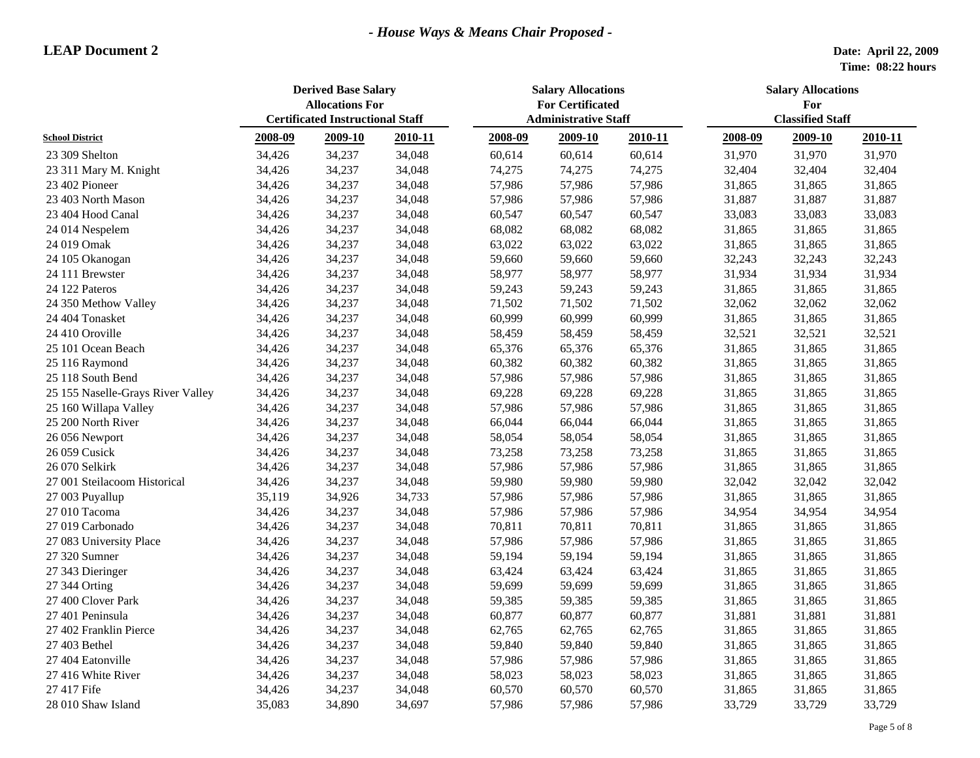|                                   | <b>Derived Base Salary</b><br><b>Allocations For</b><br><b>Certificated Instructional Staff</b> |         |         | <b>Salary Allocations</b><br><b>For Certificated</b><br><b>Administrative Staff</b> |         |         | <b>Salary Allocations</b><br>For<br><b>Classified Staff</b> |         |         |
|-----------------------------------|-------------------------------------------------------------------------------------------------|---------|---------|-------------------------------------------------------------------------------------|---------|---------|-------------------------------------------------------------|---------|---------|
| <b>School District</b>            | 2008-09                                                                                         | 2009-10 | 2010-11 | 2008-09                                                                             | 2009-10 | 2010-11 | 2008-09                                                     | 2009-10 | 2010-11 |
| 23 309 Shelton                    | 34,426                                                                                          | 34,237  | 34,048  | 60,614                                                                              | 60,614  | 60,614  | 31,970                                                      | 31,970  | 31,970  |
| 23 311 Mary M. Knight             | 34,426                                                                                          | 34,237  | 34,048  | 74,275                                                                              | 74,275  | 74,275  | 32,404                                                      | 32,404  | 32,404  |
| 23 402 Pioneer                    | 34,426                                                                                          | 34,237  | 34,048  | 57,986                                                                              | 57,986  | 57,986  | 31,865                                                      | 31,865  | 31,865  |
| 23 403 North Mason                | 34,426                                                                                          | 34,237  | 34,048  | 57,986                                                                              | 57,986  | 57,986  | 31,887                                                      | 31,887  | 31,887  |
| 23 404 Hood Canal                 | 34,426                                                                                          | 34,237  | 34,048  | 60,547                                                                              | 60,547  | 60,547  | 33,083                                                      | 33,083  | 33,083  |
| 24 014 Nespelem                   | 34,426                                                                                          | 34,237  | 34,048  | 68,082                                                                              | 68,082  | 68,082  | 31,865                                                      | 31,865  | 31,865  |
| 24 019 Omak                       | 34,426                                                                                          | 34,237  | 34,048  | 63,022                                                                              | 63,022  | 63,022  | 31,865                                                      | 31,865  | 31,865  |
| 24 105 Okanogan                   | 34,426                                                                                          | 34,237  | 34,048  | 59,660                                                                              | 59,660  | 59,660  | 32,243                                                      | 32,243  | 32,243  |
| 24 111 Brewster                   | 34,426                                                                                          | 34,237  | 34,048  | 58,977                                                                              | 58,977  | 58,977  | 31,934                                                      | 31,934  | 31,934  |
| 24 122 Pateros                    | 34,426                                                                                          | 34,237  | 34,048  | 59,243                                                                              | 59,243  | 59,243  | 31,865                                                      | 31,865  | 31,865  |
| 24 350 Methow Valley              | 34,426                                                                                          | 34,237  | 34,048  | 71,502                                                                              | 71,502  | 71,502  | 32,062                                                      | 32,062  | 32,062  |
| 24 404 Tonasket                   | 34,426                                                                                          | 34,237  | 34,048  | 60,999                                                                              | 60,999  | 60,999  | 31,865                                                      | 31,865  | 31,865  |
| 24 410 Oroville                   | 34,426                                                                                          | 34,237  | 34,048  | 58,459                                                                              | 58,459  | 58,459  | 32,521                                                      | 32,521  | 32,521  |
|                                   |                                                                                                 | 34,237  |         |                                                                                     |         | 65,376  |                                                             |         |         |
| 25 101 Ocean Beach                | 34,426                                                                                          | 34,237  | 34,048  | 65,376                                                                              | 65,376  |         | 31,865                                                      | 31,865  | 31,865  |
| 25 116 Raymond                    | 34,426                                                                                          |         | 34,048  | 60,382                                                                              | 60,382  | 60,382  | 31,865                                                      | 31,865  | 31,865  |
| 25 118 South Bend                 | 34,426                                                                                          | 34,237  | 34,048  | 57,986                                                                              | 57,986  | 57,986  | 31,865                                                      | 31,865  | 31,865  |
| 25 155 Naselle-Grays River Valley | 34,426                                                                                          | 34,237  | 34,048  | 69,228                                                                              | 69,228  | 69,228  | 31,865                                                      | 31,865  | 31,865  |
| 25 160 Willapa Valley             | 34,426                                                                                          | 34,237  | 34,048  | 57,986                                                                              | 57,986  | 57,986  | 31,865                                                      | 31,865  | 31,865  |
| 25 200 North River                | 34,426                                                                                          | 34,237  | 34,048  | 66,044                                                                              | 66,044  | 66,044  | 31,865                                                      | 31,865  | 31,865  |
| 26 056 Newport                    | 34,426                                                                                          | 34,237  | 34,048  | 58,054                                                                              | 58,054  | 58,054  | 31,865                                                      | 31,865  | 31,865  |
| 26 059 Cusick                     | 34,426                                                                                          | 34,237  | 34,048  | 73,258                                                                              | 73,258  | 73,258  | 31,865                                                      | 31,865  | 31,865  |
| 26 070 Selkirk                    | 34,426                                                                                          | 34,237  | 34,048  | 57,986                                                                              | 57,986  | 57,986  | 31,865                                                      | 31,865  | 31,865  |
| 27 001 Steilacoom Historical      | 34,426                                                                                          | 34,237  | 34,048  | 59,980                                                                              | 59,980  | 59,980  | 32,042                                                      | 32,042  | 32,042  |
| 27 003 Puyallup                   | 35,119                                                                                          | 34,926  | 34,733  | 57,986                                                                              | 57,986  | 57,986  | 31,865                                                      | 31,865  | 31,865  |
| 27 010 Tacoma                     | 34,426                                                                                          | 34,237  | 34,048  | 57,986                                                                              | 57,986  | 57,986  | 34,954                                                      | 34,954  | 34,954  |
| 27 019 Carbonado                  | 34,426                                                                                          | 34,237  | 34,048  | 70,811                                                                              | 70,811  | 70,811  | 31,865                                                      | 31,865  | 31,865  |
| 27 083 University Place           | 34,426                                                                                          | 34,237  | 34,048  | 57,986                                                                              | 57,986  | 57,986  | 31,865                                                      | 31,865  | 31,865  |
| 27 320 Sumner                     | 34,426                                                                                          | 34,237  | 34,048  | 59,194                                                                              | 59,194  | 59,194  | 31,865                                                      | 31,865  | 31,865  |
| 27 343 Dieringer                  | 34,426                                                                                          | 34,237  | 34,048  | 63,424                                                                              | 63,424  | 63,424  | 31,865                                                      | 31,865  | 31,865  |
| 27 344 Orting                     | 34,426                                                                                          | 34,237  | 34,048  | 59,699                                                                              | 59,699  | 59,699  | 31,865                                                      | 31,865  | 31,865  |
| 27 400 Clover Park                | 34,426                                                                                          | 34,237  | 34,048  | 59,385                                                                              | 59,385  | 59,385  | 31,865                                                      | 31,865  | 31,865  |
| 27 401 Peninsula                  | 34,426                                                                                          | 34,237  | 34,048  | 60,877                                                                              | 60,877  | 60,877  | 31,881                                                      | 31,881  | 31,881  |
| 27 402 Franklin Pierce            | 34,426                                                                                          | 34,237  | 34,048  | 62,765                                                                              | 62,765  | 62,765  | 31,865                                                      | 31,865  | 31,865  |
| 27 403 Bethel                     | 34,426                                                                                          | 34,237  | 34,048  | 59,840                                                                              | 59,840  | 59,840  | 31,865                                                      | 31,865  | 31,865  |
| 27 404 Eatonville                 | 34,426                                                                                          | 34,237  | 34,048  | 57,986                                                                              | 57,986  | 57,986  | 31,865                                                      | 31,865  | 31,865  |
| 27 416 White River                | 34,426                                                                                          | 34,237  | 34,048  | 58,023                                                                              | 58,023  | 58,023  | 31,865                                                      | 31,865  | 31,865  |
| 27 417 Fife                       | 34,426                                                                                          | 34,237  | 34,048  | 60,570                                                                              | 60,570  | 60,570  | 31,865                                                      | 31,865  | 31,865  |
| 28 010 Shaw Island                | 35,083                                                                                          | 34,890  | 34,697  | 57,986                                                                              | 57,986  | 57,986  | 33,729                                                      | 33,729  | 33,729  |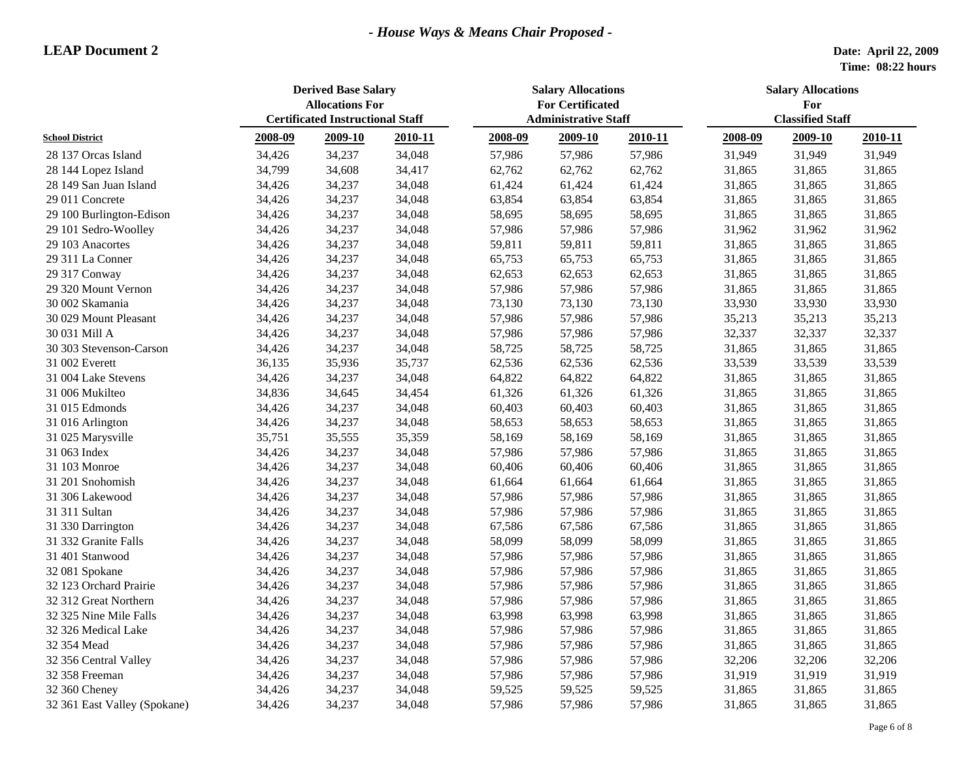|                              | <b>Derived Base Salary</b><br><b>Allocations For</b> |                                         |         | <b>Salary Allocations</b><br><b>For Certificated</b> |                             |         | <b>Salary Allocations</b><br>For |                         |         |  |
|------------------------------|------------------------------------------------------|-----------------------------------------|---------|------------------------------------------------------|-----------------------------|---------|----------------------------------|-------------------------|---------|--|
| <b>School District</b>       |                                                      | <b>Certificated Instructional Staff</b> |         |                                                      | <b>Administrative Staff</b> |         |                                  | <b>Classified Staff</b> |         |  |
|                              | 2008-09                                              | 2009-10                                 | 2010-11 | 2008-09                                              | 2009-10                     | 2010-11 | 2008-09                          | 2009-10                 | 2010-11 |  |
| 28 137 Orcas Island          | 34,426                                               | 34,237                                  | 34,048  | 57,986                                               | 57,986                      | 57,986  | 31,949                           | 31,949                  | 31,949  |  |
| 28 144 Lopez Island          | 34,799                                               | 34,608                                  | 34,417  | 62,762                                               | 62,762                      | 62,762  | 31,865                           | 31,865                  | 31,865  |  |
| 28 149 San Juan Island       | 34,426                                               | 34,237                                  | 34,048  | 61,424                                               | 61,424                      | 61,424  | 31,865                           | 31,865                  | 31,865  |  |
| 29 011 Concrete              | 34,426                                               | 34,237                                  | 34,048  | 63,854                                               | 63,854                      | 63,854  | 31,865                           | 31,865                  | 31,865  |  |
| 29 100 Burlington-Edison     | 34,426                                               | 34,237                                  | 34,048  | 58,695                                               | 58,695                      | 58,695  | 31,865                           | 31,865                  | 31,865  |  |
| 29 101 Sedro-Woolley         | 34,426                                               | 34,237                                  | 34,048  | 57,986                                               | 57,986                      | 57,986  | 31,962                           | 31,962                  | 31,962  |  |
| 29 103 Anacortes             | 34,426                                               | 34,237                                  | 34,048  | 59,811                                               | 59,811                      | 59,811  | 31,865                           | 31,865                  | 31,865  |  |
| 29 311 La Conner             | 34,426                                               | 34,237                                  | 34,048  | 65,753                                               | 65,753                      | 65,753  | 31,865                           | 31,865                  | 31,865  |  |
| 29 317 Conway                | 34,426                                               | 34,237                                  | 34,048  | 62,653                                               | 62,653                      | 62,653  | 31,865                           | 31,865                  | 31,865  |  |
| 29 320 Mount Vernon          | 34,426                                               | 34,237                                  | 34,048  | 57,986                                               | 57,986                      | 57,986  | 31,865                           | 31,865                  | 31,865  |  |
| 30 002 Skamania              | 34,426                                               | 34,237                                  | 34,048  | 73,130                                               | 73,130                      | 73,130  | 33,930                           | 33,930                  | 33,930  |  |
| 30 029 Mount Pleasant        | 34,426                                               | 34,237                                  | 34,048  | 57,986                                               | 57,986                      | 57,986  | 35,213                           | 35,213                  | 35,213  |  |
| 30 031 Mill A                | 34,426                                               | 34,237                                  | 34,048  | 57,986                                               | 57,986                      | 57,986  | 32,337                           | 32,337                  | 32,337  |  |
| 30 303 Stevenson-Carson      | 34,426                                               | 34,237                                  | 34,048  | 58,725                                               | 58,725                      | 58,725  | 31,865                           | 31,865                  | 31,865  |  |
| 31 002 Everett               | 36,135                                               | 35,936                                  | 35,737  | 62,536                                               | 62,536                      | 62,536  | 33,539                           | 33,539                  | 33,539  |  |
| 31 004 Lake Stevens          | 34,426                                               | 34,237                                  | 34,048  | 64,822                                               | 64,822                      | 64,822  | 31,865                           | 31,865                  | 31,865  |  |
| 31 006 Mukilteo              | 34,836                                               | 34,645                                  | 34,454  | 61,326                                               | 61,326                      | 61,326  | 31,865                           | 31,865                  | 31,865  |  |
| 31 015 Edmonds               | 34,426                                               | 34,237                                  | 34,048  | 60,403                                               | 60,403                      | 60,403  | 31,865                           | 31,865                  | 31,865  |  |
| 31 016 Arlington             | 34,426                                               | 34,237                                  | 34,048  | 58,653                                               | 58,653                      | 58,653  | 31,865                           | 31,865                  | 31,865  |  |
| 31 025 Marysville            | 35,751                                               | 35,555                                  | 35,359  | 58,169                                               | 58,169                      | 58,169  | 31,865                           | 31,865                  | 31,865  |  |
| 31 063 Index                 | 34,426                                               | 34,237                                  | 34,048  | 57,986                                               | 57,986                      | 57,986  | 31,865                           | 31,865                  | 31,865  |  |
| 31 103 Monroe                | 34,426                                               | 34,237                                  | 34,048  | 60,406                                               | 60,406                      | 60,406  | 31,865                           | 31,865                  | 31,865  |  |
| 31 201 Snohomish             | 34,426                                               | 34,237                                  | 34,048  | 61,664                                               | 61,664                      | 61,664  | 31,865                           | 31,865                  | 31,865  |  |
| 31 306 Lakewood              | 34,426                                               | 34,237                                  | 34,048  | 57,986                                               | 57,986                      | 57,986  | 31,865                           | 31,865                  | 31,865  |  |
| 31 311 Sultan                | 34,426                                               | 34,237                                  | 34,048  | 57,986                                               | 57,986                      | 57,986  | 31,865                           | 31,865                  | 31,865  |  |
| 31 330 Darrington            | 34,426                                               | 34,237                                  | 34,048  | 67,586                                               | 67,586                      | 67,586  | 31,865                           | 31,865                  | 31,865  |  |
| 31 332 Granite Falls         | 34,426                                               | 34,237                                  | 34,048  | 58,099                                               | 58,099                      | 58,099  | 31,865                           | 31,865                  | 31,865  |  |
| 31 401 Stanwood              | 34,426                                               | 34,237                                  | 34,048  | 57,986                                               | 57,986                      | 57,986  | 31,865                           | 31,865                  | 31,865  |  |
| 32 081 Spokane               | 34,426                                               | 34,237                                  | 34,048  | 57,986                                               | 57,986                      | 57,986  | 31,865                           | 31,865                  | 31,865  |  |
| 32 123 Orchard Prairie       | 34,426                                               | 34,237                                  | 34,048  | 57,986                                               | 57,986                      | 57,986  | 31,865                           | 31,865                  | 31,865  |  |
| 32 312 Great Northern        | 34,426                                               | 34,237                                  | 34,048  | 57,986                                               | 57,986                      | 57,986  | 31,865                           | 31,865                  | 31,865  |  |
| 32 325 Nine Mile Falls       | 34,426                                               | 34,237                                  | 34,048  | 63,998                                               | 63,998                      | 63,998  | 31,865                           | 31,865                  | 31,865  |  |
| 32 326 Medical Lake          | 34,426                                               | 34,237                                  | 34,048  | 57,986                                               | 57,986                      | 57,986  | 31,865                           | 31,865                  | 31,865  |  |
| 32 354 Mead                  | 34,426                                               | 34,237                                  | 34,048  | 57,986                                               | 57,986                      | 57,986  | 31,865                           | 31,865                  | 31,865  |  |
| 32 356 Central Valley        | 34,426                                               | 34,237                                  | 34,048  | 57,986                                               | 57,986                      | 57,986  | 32,206                           | 32,206                  | 32,206  |  |
| 32 358 Freeman               | 34,426                                               | 34,237                                  | 34,048  | 57,986                                               | 57,986                      | 57,986  | 31,919                           | 31,919                  | 31,919  |  |
| 32 360 Cheney                | 34,426                                               | 34,237                                  | 34,048  | 59,525                                               | 59,525                      | 59,525  | 31,865                           | 31,865                  | 31,865  |  |
| 32 361 East Valley (Spokane) | 34,426                                               | 34,237                                  | 34,048  | 57,986                                               | 57,986                      | 57,986  | 31,865                           | 31,865                  | 31,865  |  |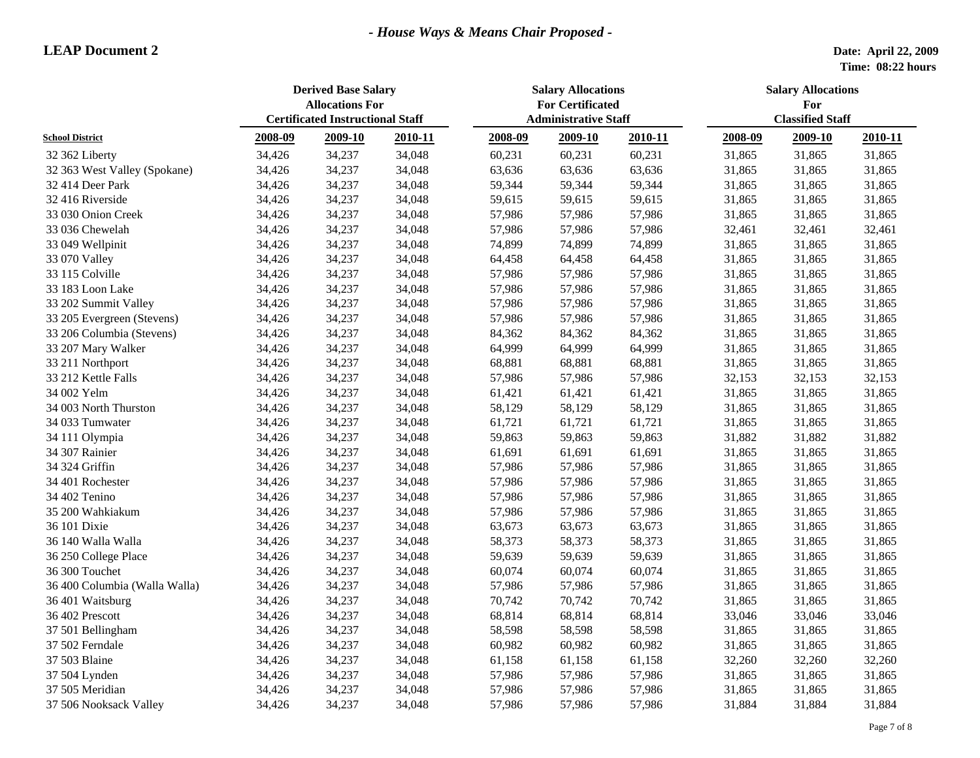|                               | <b>Derived Base Salary</b><br><b>Allocations For</b><br><b>Certificated Instructional Staff</b> |         |         | <b>Salary Allocations</b><br><b>For Certificated</b><br><b>Administrative Staff</b> |         |         | <b>Salary Allocations</b><br>For |         |         |  |
|-------------------------------|-------------------------------------------------------------------------------------------------|---------|---------|-------------------------------------------------------------------------------------|---------|---------|----------------------------------|---------|---------|--|
| <b>School District</b>        |                                                                                                 |         |         |                                                                                     |         |         | <b>Classified Staff</b>          |         |         |  |
|                               | 2008-09                                                                                         | 2009-10 | 2010-11 | 2008-09                                                                             | 2009-10 | 2010-11 | 2008-09                          | 2009-10 | 2010-11 |  |
| 32 362 Liberty                | 34,426                                                                                          | 34,237  | 34,048  | 60,231                                                                              | 60,231  | 60,231  | 31,865                           | 31,865  | 31,865  |  |
| 32 363 West Valley (Spokane)  | 34,426                                                                                          | 34,237  | 34,048  | 63,636                                                                              | 63,636  | 63,636  | 31,865                           | 31,865  | 31,865  |  |
| 32 414 Deer Park              | 34,426                                                                                          | 34,237  | 34,048  | 59,344                                                                              | 59,344  | 59,344  | 31,865                           | 31,865  | 31,865  |  |
| 32 416 Riverside              | 34,426                                                                                          | 34,237  | 34,048  | 59,615                                                                              | 59,615  | 59,615  | 31,865                           | 31,865  | 31,865  |  |
| 33 030 Onion Creek            | 34,426                                                                                          | 34,237  | 34,048  | 57,986                                                                              | 57,986  | 57,986  | 31,865                           | 31,865  | 31,865  |  |
| 33 036 Chewelah               | 34,426                                                                                          | 34,237  | 34,048  | 57,986                                                                              | 57,986  | 57,986  | 32,461                           | 32,461  | 32,461  |  |
| 33 049 Wellpinit              | 34,426                                                                                          | 34,237  | 34,048  | 74,899                                                                              | 74,899  | 74,899  | 31,865                           | 31,865  | 31,865  |  |
| 33 070 Valley                 | 34,426                                                                                          | 34,237  | 34,048  | 64,458                                                                              | 64,458  | 64,458  | 31,865                           | 31,865  | 31,865  |  |
| 33 115 Colville               | 34,426                                                                                          | 34,237  | 34,048  | 57,986                                                                              | 57,986  | 57,986  | 31,865                           | 31,865  | 31,865  |  |
| 33 183 Loon Lake              | 34,426                                                                                          | 34,237  | 34,048  | 57,986                                                                              | 57,986  | 57,986  | 31,865                           | 31,865  | 31,865  |  |
| 33 202 Summit Valley          | 34,426                                                                                          | 34,237  | 34,048  | 57,986                                                                              | 57,986  | 57,986  | 31,865                           | 31,865  | 31,865  |  |
| 33 205 Evergreen (Stevens)    | 34,426                                                                                          | 34,237  | 34,048  | 57,986                                                                              | 57,986  | 57,986  | 31,865                           | 31,865  | 31,865  |  |
| 33 206 Columbia (Stevens)     | 34,426                                                                                          | 34,237  | 34,048  | 84,362                                                                              | 84,362  | 84,362  | 31,865                           | 31,865  | 31,865  |  |
| 33 207 Mary Walker            | 34,426                                                                                          | 34,237  | 34,048  | 64,999                                                                              | 64,999  | 64,999  | 31,865                           | 31,865  | 31,865  |  |
| 33 211 Northport              | 34,426                                                                                          | 34,237  | 34,048  | 68,881                                                                              | 68,881  | 68,881  | 31,865                           | 31,865  | 31,865  |  |
| 33 212 Kettle Falls           | 34,426                                                                                          | 34,237  | 34,048  | 57,986                                                                              | 57,986  | 57,986  | 32,153                           | 32,153  | 32,153  |  |
| 34 002 Yelm                   | 34,426                                                                                          | 34,237  | 34,048  | 61,421                                                                              | 61,421  | 61,421  | 31,865                           | 31,865  | 31,865  |  |
| 34 003 North Thurston         | 34,426                                                                                          | 34,237  | 34,048  | 58,129                                                                              | 58,129  | 58,129  | 31,865                           | 31,865  | 31,865  |  |
| 34 033 Tumwater               | 34,426                                                                                          | 34,237  | 34,048  | 61,721                                                                              | 61,721  | 61,721  | 31,865                           | 31,865  | 31,865  |  |
| 34 111 Olympia                | 34,426                                                                                          | 34,237  | 34,048  | 59,863                                                                              | 59,863  | 59,863  | 31,882                           | 31,882  | 31,882  |  |
| 34 307 Rainier                | 34,426                                                                                          | 34,237  | 34,048  | 61,691                                                                              | 61,691  | 61,691  | 31,865                           | 31,865  | 31,865  |  |
| 34 324 Griffin                | 34,426                                                                                          | 34,237  | 34,048  | 57,986                                                                              | 57,986  | 57,986  | 31,865                           | 31,865  | 31,865  |  |
| 34 401 Rochester              | 34,426                                                                                          | 34,237  | 34,048  | 57,986                                                                              | 57,986  | 57,986  | 31,865                           | 31,865  | 31,865  |  |
| 34 402 Tenino                 | 34,426                                                                                          | 34,237  | 34,048  | 57,986                                                                              | 57,986  | 57,986  | 31,865                           | 31,865  | 31,865  |  |
| 35 200 Wahkiakum              | 34,426                                                                                          | 34,237  | 34,048  | 57,986                                                                              | 57,986  | 57,986  | 31,865                           | 31,865  | 31,865  |  |
| 36 101 Dixie                  | 34,426                                                                                          | 34,237  | 34,048  | 63,673                                                                              | 63,673  | 63,673  | 31,865                           | 31,865  | 31,865  |  |
| 36 140 Walla Walla            | 34,426                                                                                          | 34,237  | 34,048  | 58,373                                                                              | 58,373  | 58,373  | 31,865                           | 31,865  | 31,865  |  |
| 36 250 College Place          | 34,426                                                                                          | 34,237  | 34,048  | 59,639                                                                              | 59,639  | 59,639  | 31,865                           | 31,865  | 31,865  |  |
| 36 300 Touchet                | 34,426                                                                                          | 34,237  | 34,048  | 60,074                                                                              | 60,074  | 60,074  | 31,865                           | 31,865  | 31,865  |  |
| 36 400 Columbia (Walla Walla) | 34,426                                                                                          | 34,237  | 34,048  | 57,986                                                                              | 57,986  | 57,986  | 31,865                           | 31,865  | 31,865  |  |
| 36 401 Waitsburg              | 34,426                                                                                          | 34,237  | 34,048  | 70,742                                                                              | 70,742  | 70,742  | 31,865                           | 31,865  | 31,865  |  |
| 36 402 Prescott               | 34,426                                                                                          | 34,237  | 34,048  | 68,814                                                                              | 68,814  | 68,814  | 33,046                           | 33,046  | 33,046  |  |
| 37 501 Bellingham             | 34,426                                                                                          | 34,237  | 34,048  | 58,598                                                                              | 58,598  | 58,598  | 31,865                           | 31,865  | 31,865  |  |
| 37 502 Ferndale               | 34,426                                                                                          | 34,237  | 34,048  | 60,982                                                                              | 60,982  | 60,982  | 31,865                           | 31,865  | 31,865  |  |
| 37 503 Blaine                 | 34,426                                                                                          | 34,237  | 34,048  | 61,158                                                                              | 61,158  | 61,158  | 32,260                           | 32,260  | 32,260  |  |
| 37 504 Lynden                 | 34,426                                                                                          | 34,237  | 34,048  | 57,986                                                                              | 57,986  | 57,986  | 31,865                           | 31,865  | 31,865  |  |
| 37 505 Meridian               | 34,426                                                                                          | 34,237  | 34,048  | 57,986                                                                              | 57,986  | 57,986  | 31,865                           | 31,865  | 31,865  |  |
| 37 506 Nooksack Valley        | 34,426                                                                                          | 34,237  | 34,048  | 57,986                                                                              | 57,986  | 57,986  | 31,884                           | 31,884  | 31,884  |  |